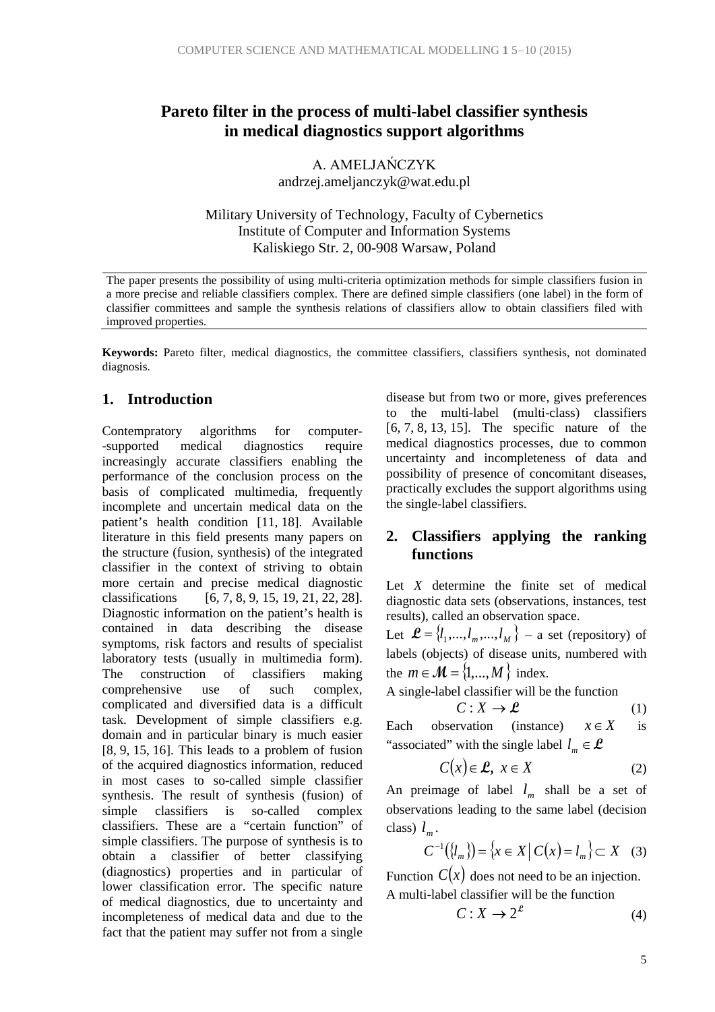## **Pareto filter in the process of multi-label classifier synthesis in medical diagnostics support algorithms**

A. AMELJAŃCZYK

andrzej.ameljanczyk@wat.edu.pl

Military University of Technology, Faculty of Cybernetics Institute of Computer and Information Systems Kaliskiego Str. 2, 00-908 Warsaw, Poland

The paper presents the possibility of using multi-criteria optimization methods for simple classifiers fusion in a more precise and reliable classifiers complex. There are defined simple classifiers (one label) in the form of classifier committees and sample the synthesis relations of classifiers allow to obtain classifiers filed with improved properties.

**Keywords:** Pareto filter, medical diagnostics, the committee classifiers, classifiers synthesis, not dominated diagnosis.

### **1. Introduction**

Contempratory algorithms for computer- -supported medical diagnostics require increasingly accurate classifiers enabling the performance of the conclusion process on the basis of complicated multimedia, frequently incomplete and uncertain medical data on the patient's health condition [11, 18]. Available literature in this field presents many papers on the structure (fusion, synthesis) of the integrated classifier in the context of striving to obtain more certain and precise medical diagnostic classifications  $[6, 7, 8, 9, 15, 19, 21, 22, 28]$  $[6, 7, 8, 9, 15, 19, 21, 22, 28].$ Diagnostic information on the patient's health is contained in data describing the disease symptoms, risk factors and results of specialist laboratory tests (usually in multimedia form). The construction of classifiers making comprehensive use of such complex, complicated and diversified data is a difficult task. Development of simple classifiers e.g. domain and in particular binary is much easier [8, 9, 15, 16]. This leads to a problem of fusion of the acquired diagnostics information, reduced in most cases to so-called simple classifier synthesis. The result of synthesis (fusion) of simple classifiers is so-called complex classifiers. These are a "certain function" of simple classifiers. The purpose of synthesis is to obtain a classifier of better classifying (diagnostics) properties and in particular of lower classification error. The specific nature of medical diagnostics, due to uncertainty and incompleteness of medical data and due to the fact that the patient may suffer not from a single

disease but from two or more, gives preferences to the multi-label (multi-class) classifiers [6, 7, 8, 13, 15]. The specific nature of the medical diagnostics processes, due to common uncertainty and incompleteness of data and possibility of presence of concomitant diseases, practically excludes the support algorithms using the single-label classifiers.

## **2. Classifiers applying the ranking functions**

Let *X* determine the finite set of medical diagnostic data sets (observations, instances, test results), called an observation space.

Let  $\mathcal{L} = \{l_1, ..., l_m, ..., l_M\}$  – a set (repository) of labels (objects) of disease units, numbered with the  $m \in \mathcal{M} = \{1,...,M\}$  index.

A single-label classifier will be the function

$$
C: X \to \mathcal{L} \tag{1}
$$

Each observation (instance)  $x \in X$  is "associated" with the single label  $l_m \in \mathcal{L}$ 

$$
C(x) \in \mathcal{L}, \ x \in X \tag{2}
$$

An preimage of label  $l_m$  shall be a set of observations leading to the same label (decision class)  $l_m$ .

$$
C^{-1}(\{l_m\}) = \{x \in X \mid C(x) = l_m\} \subset X \quad (3)
$$

Function  $C(x)$  does not need to be an injection. A multi-label classifier will be the function

$$
C: X \to 2^{\ell} \tag{4}
$$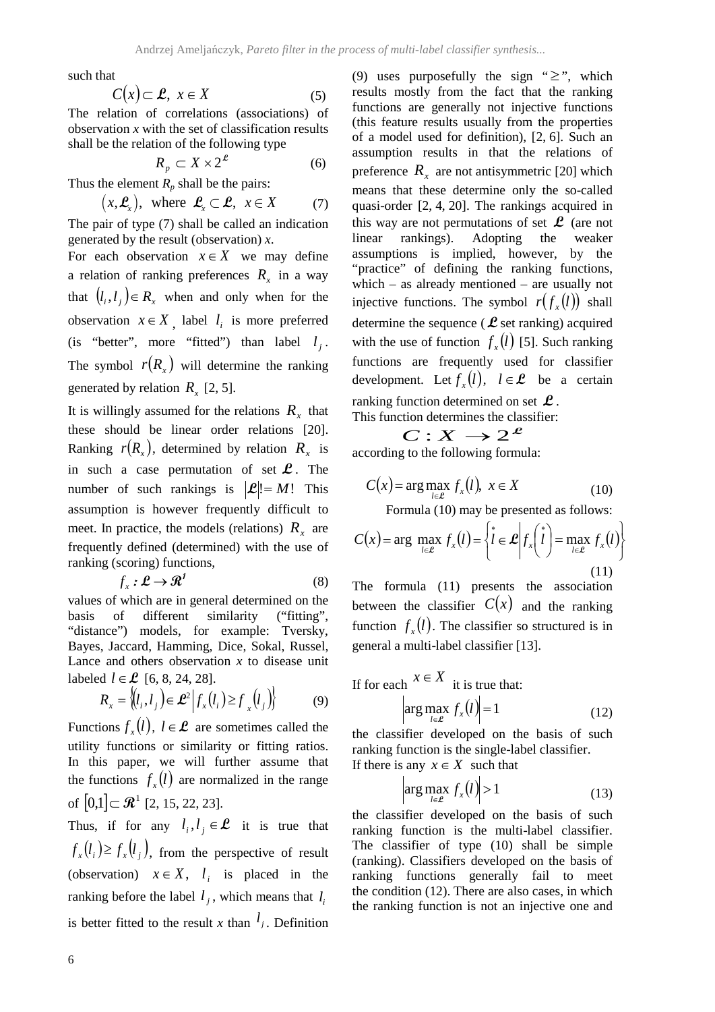such that

$$
C(x) \subset \mathcal{L}, \ x \in X \tag{5}
$$

The relation of correlations (associations) of observation *x* with the set of classification results shall be the relation of the following type

$$
R_p \subset X \times 2^{\mathcal{L}} \tag{6}
$$

Thus the element  $R_p$  shall be the pairs:

$$
(x, \mathcal{L}_x)
$$
, where  $\mathcal{L}_x \subset \mathcal{L}$ ,  $x \in X$  (7)

The pair of type (7) shall be called an indication generated by the result (observation) *x*.

For each observation  $x \in X$  we may define a relation of ranking preferences  $R<sub>x</sub>$  in a way that  $(l_i, l_j) \in R$ , when and only when for the observation  $x \in X$  , label  $l_i$  is more preferred (is "better", more "fitted") than label  $l_i$ . The symbol  $r(R<sub>x</sub>)$  will determine the ranking generated by relation  $R_{r}$  [2, 5].

It is willingly assumed for the relations  $R<sub>x</sub>$  that these should be linear order relations [20]. Ranking  $r(R_x)$ , determined by relation  $R_x$  is in such a case permutation of set  $\mathcal{L}$ . The number of such rankings is  $|\mathcal{L}| = M!$  This assumption is however frequently difficult to meet. In practice, the models (relations)  $R<sub>r</sub>$  are frequently defined (determined) with the use of ranking (scoring) functions,

$$
f_x : \mathcal{L} \to \mathcal{R}^1 \tag{8}
$$

values of which are in general determined on the basis of different similarity ("fitting", "distance") models, for example: Tversky, Bayes, Jaccard, Hamming, Dice, Sokal, Russel, Lance and others observation *x* to disease unit labeled  $l \in L$  [6, 8, 24, 28].

$$
R_x = \left\{ (l_i, l_j) \in \mathcal{L}^2 \middle| f_x(l_i) \ge f_x(l_j) \right\} \tag{9}
$$

Functions  $f_x(l)$ ,  $l \in \mathcal{L}$  are sometimes called the utility functions or similarity or fitting ratios. In this paper, we will further assume that the functions  $f<sub>x</sub>(l)$  are normalized in the range of  $[0,1] \subset \mathbb{R}^1$  [2, 15, 22, 23].

Thus, if for any  $l_i, l_j \in \mathcal{L}$  it is true that  $f_x(l_i) \ge f_x(l_i)$ , from the perspective of result (observation)  $x \in X$ ,  $l_i$  is placed in the ranking before the label  $l_i$ , which means that  $l_i$ is better fitted to the result *x* than  $l_j$ . Definition (9) uses purposefully the sign " $\geq$ ", which results mostly from the fact that the ranking functions are generally not injective functions (this feature results usually from the properties of a model used for definition), [2, 6]. Such an assumption results in that the relations of preference  $R_x$  are not antisymmetric [20] which means that these determine only the so-called quasi-order [2, 4, 20]. The rankings acquired in this way are not permutations of set  $\mathcal{L}$  (are not linear rankings). Adopting the weaker assumptions is implied, however, by the "practice" of defining the ranking functions, which – as already mentioned – are usually not injective functions. The symbol  $r(f(x))$  shall determine the sequence (**L** set ranking) acquired with the use of function  $f_{r}(l)$  [5]. Such ranking functions are frequently used for classifier development. Let  $f_r(l)$ ,  $l \in \mathcal{L}$  be a certain ranking function determined on set **L** . This function determines the classifier:

 $C: X \rightarrow 2^{\mathcal{L}}$ according to the following formula:

$$
C(x) = \arg \max_{l \in \mathcal{L}} f_x(l), \ x \in X
$$
 (10)  
Formula (10) may be presented as follows:

$$
C(x) = \arg \max_{l \in \mathcal{L}} f_x(l) = \left\{ l \in \mathcal{L} \middle| f_x\left(\begin{array}{c} \mathbf{1} \\ l \end{array}\right) = \max_{l \in \mathcal{L}} f_x(l) \right\}
$$
\n(11)

The formula (11) presents the association between the classifier  $C(x)$  and the ranking function  $f(x)$ . The classifier so structured is in general a multi-label classifier [13].

If for each 
$$
x \in X
$$
 it is true that:  
\n
$$
\left| \arg \max_{l \in \mathcal{L}} f_x(l) \right| = 1
$$
\n(12)

the classifier developed on the basis of such ranking function is the single-label classifier. If there is any  $x \in X$  such that

$$
\left|\arg\max_{l\in\mathcal{L}} f_x(l)\right| > 1\tag{13}
$$

the classifier developed on the basis of such ranking function is the multi-label classifier. The classifier of type (10) shall be simple (ranking). Classifiers developed on the basis of ranking functions generally fail to meet the condition (12). There are also cases, in which the ranking function is not an injective one and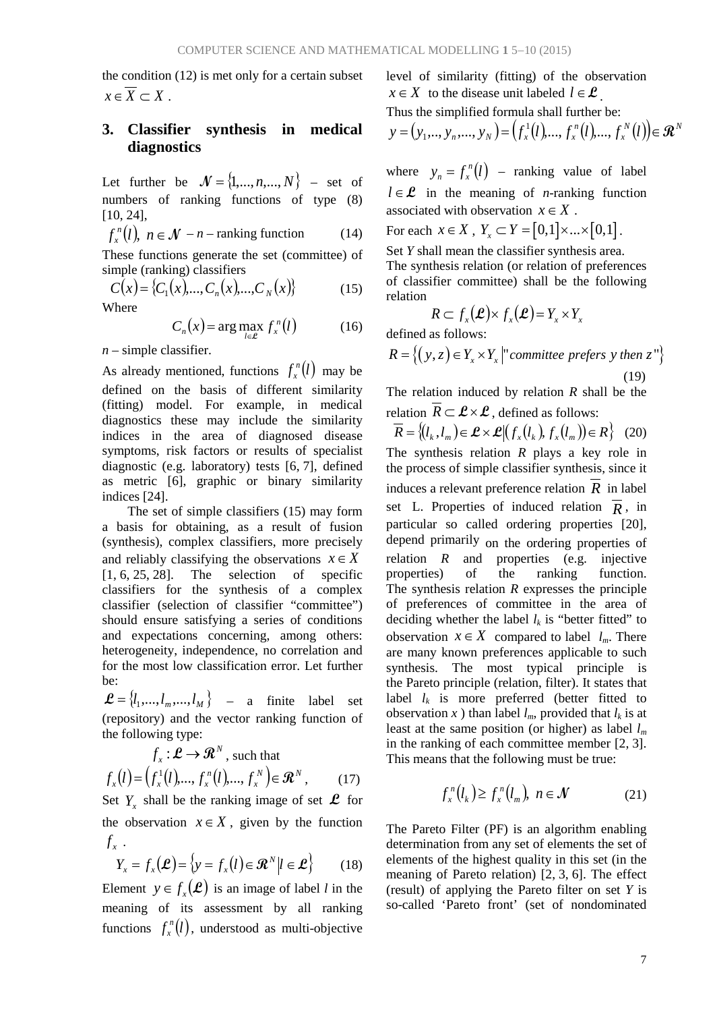the condition (12) is met only for a certain subset  $x \in \overline{X} \subset X$ .

## **3. Classifier synthesis in medical diagnostics**

Let further be  $\mathcal{N} = \{1, ..., n, ..., N\}$  – set of numbers of ranking functions of type (8) [10, 24],

$$
f_x^n(l), \ n \in \mathcal{N} - n - \text{ranking function} \tag{14}
$$

These functions generate the set (committee) of simple (ranking) classifiers

$$
C(x) = \{C_1(x), ..., C_n(x), ..., C_N(x)\}
$$
 (15)

Where

$$
C_n(x) = \arg\max_{l \in \mathcal{L}} f_x^n(l) \tag{16}
$$

*n* – simple classifier.

As already mentioned, functions  $f_x^n(l)$  may be defined on the basis of different similarity (fitting) model. For example, in medical diagnostics these may include the similarity indices in the area of diagnosed disease symptoms, risk factors or results of specialist diagnostic (e.g. laboratory) tests [6, 7], defined as metric [6], graphic or binary similarity indices [24].

The set of simple classifiers (15) may form a basis for obtaining, as a result of fusion (synthesis), complex classifiers, more precisely and reliably classifying the observations  $x \in X$  $[1, 6, 25, 28]$ . The selection of specific classifiers for the synthesis of a complex classifier (selection of classifier "committee") should ensure satisfying a series of conditions and expectations concerning, among others: heterogeneity, independence, no correlation and for the most low classification error. Let further be:

 $\mathcal{L} = \{l_1, ..., l_m, ..., l_M\}$  – a finite label set (repository) and the vector ranking function of the following type:

$$
f_x: \mathcal{L} \to \mathcal{R}^N, \text{ such that}
$$

$$
f_x(l) = (f_x^1(l), ..., f_x^n(l), ..., f_x^N) \in \mathcal{R}^N, \qquad (17)
$$

Set  $Y_r$  shall be the ranking image of set  $\mathcal{L}$  for the observation  $x \in X$ , given by the function  $f_{r}$ .

$$
Y_x = f_x(\mathcal{L}) = \{ y = f_x(l) \in \mathcal{R}^N | l \in \mathcal{L} \}
$$
 (18)

Element  $y \in f_x(\mathcal{L})$  is an image of label *l* in the meaning of its assessment by all ranking functions  $f_x^n(l)$ , understood as multi-objective

level of similarity (fitting) of the observation *x*∈ *X* to the disease unit labeled  $l \in \mathcal{L}$ 

Thus the simplified formula shall further be:

$$
y = (y_1, ..., y_n, ..., y_N) = (f_x^1(l), ..., f_x^n(l), ..., f_x^N(l)) \in \mathbb{R}^N
$$

where  $y_n = f_x^n(l)$  – ranking value of label  $l \in \mathcal{L}$  in the meaning of *n*-ranking function associated with observation  $x \in X$ .

For each  $x \in X$ ,  $Y_x \subset Y = [0,1] \times ... \times [0,1]$ .

Set *Y* shall mean the classifier synthesis area. The synthesis relation (or relation of preferences of classifier committee) shall be the following relation

$$
R \subset f_{x}(\mathcal{L}) \times f_{x}(\mathcal{L}) = Y_{x} \times Y_{x}
$$

defined as follows:

$$
R = \left\{ (y, z) \in Y_x \times Y_x \middle| \text{'} committe\ per\ fers\ y\ then\ z \right\}
$$
\n
$$
(19)
$$

The relation induced by relation *R* shall be the relation  $\overline{R} \subset \mathcal{L} \times \mathcal{L}$ , defined as follows:

$$
\overline{R} = \{(l_k, l_m) \in \mathcal{L} \times \mathcal{L} | (f_x(l_k), f_y(l_m)) \in R\} \quad (20)
$$

The synthesis relation *R* plays a key role in the process of simple classifier synthesis, since it induces a relevant preference relation *R* in label set L. Properties of induced relation  $\overline{R}$ , in particular so called ordering properties [20], depend primarily on the ordering properties of relation *R* and properties (e.g. injective properties) of the ranking function. The synthesis relation *R* expresses the principle of preferences of committee in the area of deciding whether the label  $l_k$  is "better fitted" to observation  $x \in X$  compared to label  $l_m$ . There are many known preferences applicable to such synthesis. The most typical principle is the Pareto principle (relation, filter). It states that label  $l_k$  is more preferred (better fitted to observation *x* ) than label  $l_m$ , provided that  $l_k$  is at least at the same position (or higher) as label *lm* in the ranking of each committee member [2, 3]. This means that the following must be true:

$$
f_x^n(l_k) \ge f_x^n(l_m), \ n \in \mathcal{N} \tag{21}
$$

The Pareto Filter (PF) is an algorithm enabling determination from any set of elements the set of elements of the highest quality in this set (in the meaning of Pareto relation) [2, 3, 6]. The effect (result) of applying the Pareto filter on set *Y* is so-called 'Pareto front' (set of nondominated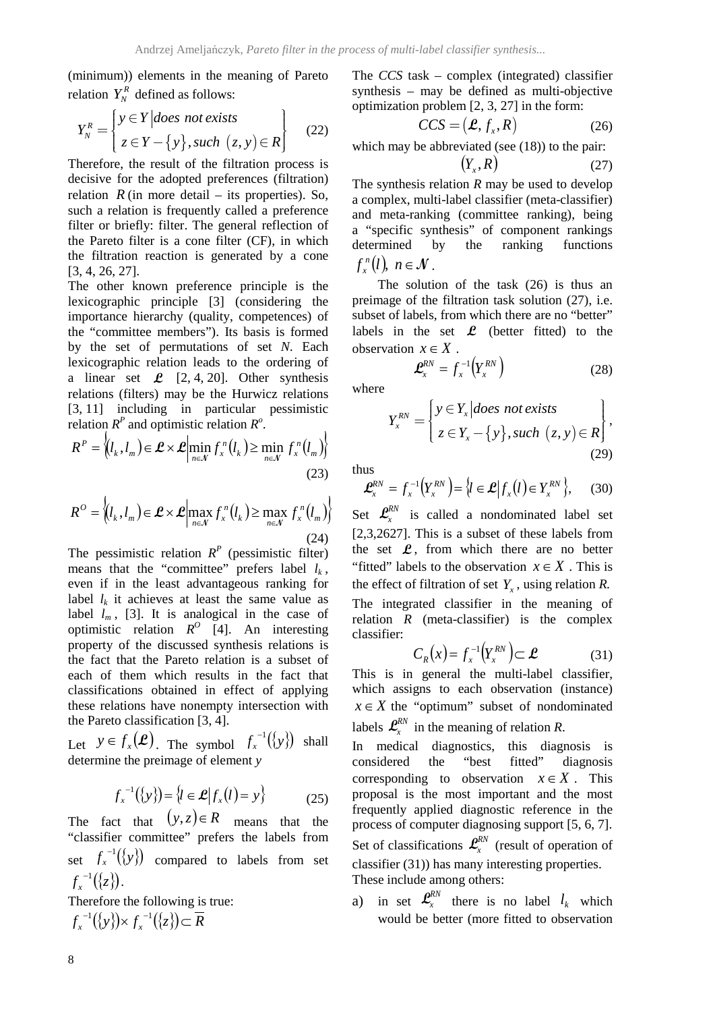(minimum)) elements in the meaning of Pareto relation  $Y_N^R$  defined as follows:

$$
Y_N^R = \begin{cases} y \in Y \mid \text{does not exists} \\ z \in Y - \{y\}, \text{such } (z, y) \in R \end{cases} \tag{22}
$$

Therefore, the result of the filtration process is decisive for the adopted preferences (filtration) relation  $R$  (in more detail – its properties). So, such a relation is frequently called a preference filter or briefly: filter. The general reflection of the Pareto filter is a cone filter (CF), in which the filtration reaction is generated by a cone [3, 4, 26, 27].

The other known preference principle is the lexicographic principle [3] (considering the importance hierarchy (quality, competences) of the "committee members"). Its basis is formed by the set of permutations of set *N*. Each lexicographic relation leads to the ordering of a linear set  $\mathcal{L}$  [2, 4, 20]. Other synthesis relations (filters) may be the Hurwicz relations [3, 11] including in particular pessimistic relation  $R^P$  and optimistic relation  $R^O$ .

$$
R^{P} = \left\langle l_{k}, l_{m} \right\rangle \in \mathcal{L} \times \mathcal{L} \Big| \min_{n \in \mathcal{N}} f_{x}^{n} (l_{k}) \geq \min_{n \in \mathcal{N}} f_{x}^{n} (l_{m}) \right\}
$$
(23)

$$
R^{O} = \left\langle l_{k}, l_{m} \right\rangle \in \mathcal{L} \times \mathcal{L} \Big| \max_{n \in \mathcal{N}} f_{x}^{n}(l_{k}) \geq \max_{n \in \mathcal{N}} f_{x}^{n}(l_{m}) \right\}
$$
\n(24)

The pessimistic relation  $R<sup>P</sup>$  (pessimistic filter) means that the "committee" prefers label  $l_k$ , even if in the least advantageous ranking for label  $l_k$  it achieves at least the same value as label  $l_m$ , [3]. It is analogical in the case of optimistic relation  $R^O$  [4]. An interesting property of the discussed synthesis relations is the fact that the Pareto relation is a subset of each of them which results in the fact that classifications obtained in effect of applying these relations have nonempty intersection with the Pareto classification [3, 4].

Let  $y \in f_x(\mathcal{L})$ . The symbol  $f_x^{-1}(\{y\})$  shall determine the preimage of element *y*

$$
f_x^{-1}(\{y\}) = \{l \in \mathcal{L} | f_x(l) = y\}
$$
 (25)

The fact that  $(y, z) \in R$  means that the "classifier committee" prefers the labels from set  $f_x^{-1}(\lbrace y \rbrace)$  compared to labels from set  $f_x^{-1}(\{z\})$ .

Therefore the following is true:  $f_x^{-1}(\lbrace y \rbrace) \times f_x^{-1}(\lbrace z \rbrace) \subset \overline{R}$ 

The *CCS* task – complex (integrated) classifier synthesis – may be defined as multi-objective optimization problem [2, 3, 27] in the form:

$$
CCS = (\mathcal{L}, f_x, R) \tag{26}
$$

which may be abbreviated (see (18)) to the pair:

$$
(Y_x, R) \tag{27}
$$

The synthesis relation *R* may be used to develop a complex, multi-label classifier (meta-classifier) and meta-ranking (committee ranking), being a "specific synthesis" of component rankings determined by the ranking functions  $f_x^n(l)$ ,  $n \in \mathcal{N}$ .

The solution of the task (26) is thus an preimage of the filtration task solution (27), i.e. subset of labels, from which there are no "better" labels in the set  $\mathcal{L}$  (better fitted) to the observation  $x \in X$ .

$$
\mathbf{L}_{x}^{RN} = f_{x}^{-1}\left(Y_{x}^{RN}\right) \tag{28}
$$

where

$$
Y_x^{RN} = \begin{cases} y \in Y_x | does not exists \\ z \in Y_x - \{y\}, such (z, y) \in R \end{cases},
$$
\n(29)

thus

$$
\mathbf{L}_{x}^{RN} = f_{x}^{-1}\big(Y_{x}^{RN}\big) = \big\{l \in \mathbf{L} \big| f_{x}(l) \in Y_{x}^{RN}\big\},\qquad(30)
$$

Set  $\mathcal{L}^{KN}_{x}$  is called a nondominated label set [2,3,2627]. This is a subset of these labels from the set  $\mathcal{L}$ , from which there are no better "fitted" labels to the observation  $x \in X$ . This is the effect of filtration of set  $Y_r$ , using relation  $R$ . The integrated classifier in the meaning of relation  $R$  (meta-classifier) is the complex classifier:

$$
C_R(x) = f_x^{-1}(Y_x^{RN}) \subset \mathcal{L}
$$
 (31)

This is in general the multi-label classifier, which assigns to each observation (instance)  $x \in X$  the "optimum" subset of nondominated labels  $\mathcal{L}_{\mathcal{X}}^{RN}$  in the meaning of relation *R*.

In medical diagnostics, this diagnosis is considered the "best fitted" diagnosis corresponding to observation  $x \in X$ . This proposal is the most important and the most frequently applied diagnostic reference in the process of computer diagnosing support [5, 6, 7]. Set of classifications  $\mathcal{L}^{RN}_{r}$  (result of operation of classifier (31)) has many interesting properties. These include among others:

a) in set  $\mathbf{L}_x^{RN}$  there is no label  $l_k$  which would be better (more fitted to observation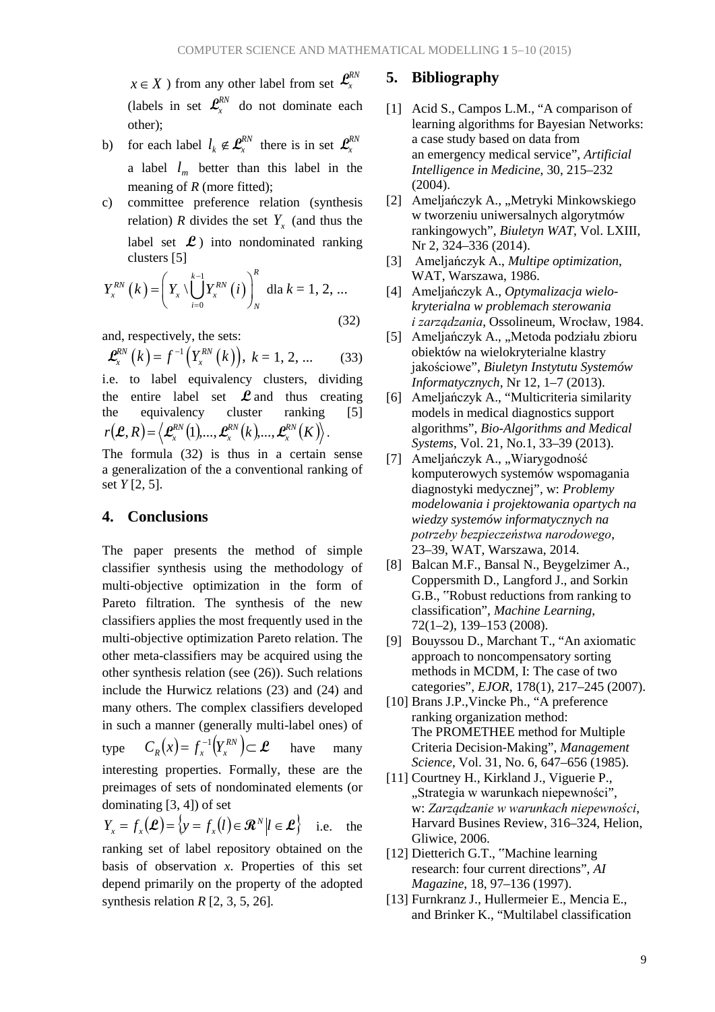*x*∈ *X* ) from any other label from set  $\mathcal{L}_x^{RN}$ (labels in set  $\mathbf{\mathcal{L}}_{x}^{RN}$  do not dominate each other);

- b) for each label  $l_k \notin \mathcal{L}_x^{RN}$  there is in set  $\mathcal{L}_x^{RN}$ a label  $l_m$  better than this label in the meaning of *R* (more fitted);
- c) committee preference relation (synthesis relation) *R* divides the set  $Y_x$  (and thus the label set  $\mathcal{L}$ ) into nondominated ranking clusters [5]

$$
Y_x^{RN}(k) = \left(Y_x \setminus \bigcup_{i=0}^{k-1} Y_x^{RN}(i)\right)_N^k \text{ dla } k = 1, 2, ... \tag{32}
$$

and, respectively, the sets:

$$
\mathcal{L}_{x}^{RN}\left(k\right) = f^{-1}\left(Y_{x}^{RN}\left(k\right)\right), \ k = 1, 2, ... \tag{33}
$$

i.e. to label equivalency clusters, dividing the entire label set **L** and thus creating the equivalency cluster ranking [5]  $r(\boldsymbol{\mathcal{L}},R)\!=\!\left\langle \boldsymbol{\mathcal{L}}_{\!x}^{_{RN}}\!\left(\boldsymbol{1}\right)\!\!,\!...\!,\boldsymbol{\mathcal{L}}_{\!x}^{_{RN}}\!\left(\boldsymbol{k}\right)\!\!,\!...\!,\boldsymbol{\mathcal{L}}_{\!x}^{_{RN}}\!\left(\boldsymbol{K}\right)\!\right\rangle$ *RN*  $\mathcal{L}, R$  =  $\left\langle \mathcal{L}_{x}^{RN}(1),...,\mathcal{L}_{x}^{RN}(k),...,\mathcal{L}_{x}^{RN}(K)\right\rangle$ .

The formula (32) is thus in a certain sense a generalization of the a conventional ranking of set *Y* [2, 5].

### **4. Conclusions**

The paper presents the method of simple classifier synthesis using the methodology of multi-objective optimization in the form of Pareto filtration. The synthesis of the new classifiers applies the most frequently used in the multi-objective optimization Pareto relation. The other meta-classifiers may be acquired using the other synthesis relation (see (26)). Such relations include the Hurwicz relations (23) and (24) and many others. The complex classifiers developed in such a manner (generally multi-label ones) of type  $C_R(x) = f_x^{-1}(Y_x^{RN}) \subset \mathcal{L}$  have many interesting properties. Formally, these are the preimages of sets of nondominated elements (or dominating [3, 4]) of set

$$
Y_x = f_x(\mathcal{L}) = \{y = f_x(l) \in \mathcal{R}^N | l \in \mathcal{L}\}\
$$
 i.e. the

ranking set of label repository obtained on the basis of observation *x*. Properties of this set depend primarily on the property of the adopted synthesis relation *R* [2, 3, 5, 26]*.*

#### **5. Bibliography**

- [1] Acid S., Campos L.M., "A comparison of learning algorithms for Bayesian Networks: a case study based on data from an emergency medical service", *Artificial Intelligence in Medicine*, 30, 215–232 (2004).
- [2] Ameljańczyk A., "Metryki Minkowskiego w tworzeniu uniwersalnych algorytmów rankingowych", *Biuletyn WAT*, Vol. LXIII, Nr 2, 324–336 (2014).
- [3] Ameljańczyk A., *Multipe optimization*, WAT, Warszawa, 1986.
- [4] Ameljańczyk A., *Optymalizacja wielokryterialna w problemach sterowania i zarządzania*, Ossolineum, Wrocław, 1984.
- [5] Ameljańczyk A., "Metoda podziału zbioru obiektów na wielokryterialne klastry jakościowe", *Biuletyn Instytutu Systemów Informatycznych*, Nr 12, 1–7 (2013).
- [6] Ameljańczyk A., "Multicriteria similarity models in medical diagnostics support algorithms", *Bio-Algorithms and Medical Systems*, Vol. 21, No.1, 33–39 (2013).
- [7] Ameljańczyk A., "Wiarygodność komputerowych systemów wspomagania diagnostyki medycznej", w: *Problemy modelowania i projektowania opartych na wiedzy systemów informatycznych na potrzeby bezpieczeństwa narodowego*, 23–39, WAT, Warszawa, 2014.
- [8] Balcan M.F., Bansal N., Beygelzimer A., Coppersmith D., Langford J., and Sorkin G.B., "Robust reductions from ranking to classification", *Machine Learning*, 72(1–2), 139–153 (2008).
- [9] Bouyssou D., Marchant T., "An axiomatic approach to noncompensatory sorting methods in MCDM, I: The case of two categories", *EJOR*, 178(1), 217–245 (2007).
- [10] Brans J.P.,Vincke Ph., "A preference ranking organization method: The PROMETHEE method for Multiple Criteria Decision-Making", *Management Science*, Vol. 31, No. 6, 647–656 (1985).
- [11] Courtney H., Kirkland J., Viguerie P., "Strategia w warunkach niepewności", w: *Zarządzanie w warunkach niepewności*, Harvard Busines Review, 316–324, Helion, Gliwice, 2006.
- [12] Dietterich G.T., "Machine learning research: four current directions", *AI Magazine*, 18, 97–136 (1997).
- [13] Furnkranz J., Hullermeier E., Mencia E., and Brinker K., "Multilabel classification